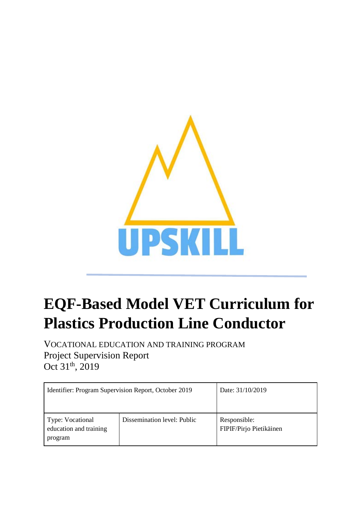

# **EQF-Based Model VET Curriculum for Plastics Production Line Conductor**

VOCATIONAL EDUCATION AND TRAINING PROGRAM Project Supervision Report Oct 31<sup>th</sup>, 2019

| Identifier: Program Supervision Report, October 2019  |                             | Date: 31/10/2019                        |
|-------------------------------------------------------|-----------------------------|-----------------------------------------|
| Type: Vocational<br>education and training<br>program | Dissemination level: Public | Responsible:<br>FIPIF/Pirjo Pietikäinen |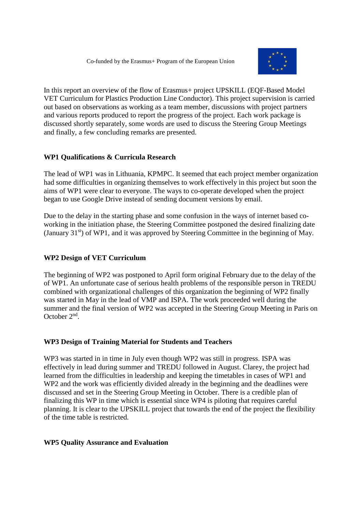

In this report an overview of the flow of Erasmus+ project UPSKILL (EQF-Based Model VET Curriculum for Plastics Production Line Conductor). This project supervision is carried out based on observations as working as a team member, discussions with project partners and various reports produced to report the progress of the project. Each work package is discussed shortly separately, some words are used to discuss the Steering Group Meetings and finally, a few concluding remarks are presented.

### **WP1 Qualifications & Curricula Research**

The lead of WP1 was in Lithuania, KPMPC. It seemed that each project member organization had some difficulties in organizing themselves to work effectively in this project but soon the aims of WP1 were clear to everyone. The ways to co-operate developed when the project began to use Google Drive instead of sending document versions by email.

Due to the delay in the starting phase and some confusion in the ways of internet based coworking in the initiation phase, the Steering Committee postponed the desired finalizing date (January  $31<sup>st</sup>$ ) of WP1, and it was approved by Steering Committee in the beginning of May.

# **WP2 Design of VET Curriculum**

The beginning of WP2 was postponed to April form original February due to the delay of the of WP1. An unfortunate case of serious health problems of the responsible person in TREDU combined with organizational challenges of this organization the beginning of WP2 finally was started in May in the lead of VMP and ISPA. The work proceeded well during the summer and the final version of WP2 was accepted in the Steering Group Meeting in Paris on October 2nd.

#### **WP3 Design of Training Material for Students and Teachers**

WP3 was started in in time in July even though WP2 was still in progress. ISPA was effectively in lead during summer and TREDU followed in August. Clarey, the project had learned from the difficulties in leadership and keeping the timetables in cases of WP1 and WP2 and the work was efficiently divided already in the beginning and the deadlines were discussed and set in the Steering Group Meeting in October. There is a credible plan of finalizing this WP in time which is essential since WP4 is piloting that requires careful planning. It is clear to the UPSKILL project that towards the end of the project the flexibility of the time table is restricted.

#### **WP5 Quality Assurance and Evaluation**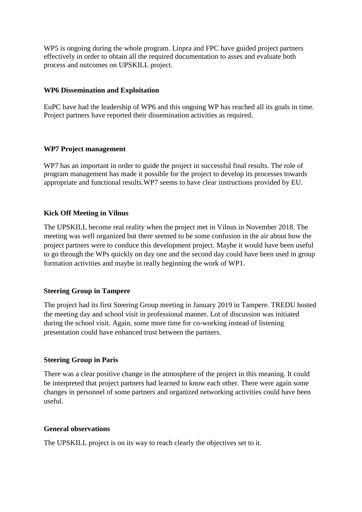WP5 is ongoing during the whole program. Linpra and FPC have guided project partners effectively in order to obtain all the required documentation to asses and evaluate both process and outcomes on UPSKILL project.

## **WP6 Dissemination and Exploitation**

EuPC have had the leadership of WP6 and this ongoing WP has reached all its goals in time. Project partners have reported their dissemination activities as required.

### **WP7 Project management**

WP7 has an important in order to guide the project in successful final results. The role of program management has made it possible for the project to develop its processes towards appropriate and functional results.WP7 seems to have clear instructions provided by EU.

# **Kick Off Meeting in Vilnus**

The UPSKILL become real reality when the project met in Vilnus in November 2018. The meeting was well organized but there seemed to be some confusion in the air about how the project partners were to conduce this development project. Maybe it would have been useful to go through the WPs quickly on day one and the second day could have been used in group formation activities and maybe in really beginning the work of WP1.

# **Steering Group in Tampere**

The project had its first Steering Group meeting in January 2019 in Tampere. TREDU hosted the meeting day and school visit in professional manner. Lot of discussion was initiated during the school visit. Again, some more time for co-working instead of listening presentation could have enhanced trust between the partners.

#### **Steering Group in Paris**

There was a clear positive change in the atmosphere of the project in this meaning. It could be interpreted that project partners had learned to know each other. There were again some changes in personnel of some partners and organized networking activities could have been useful.

#### **General observations**

The UPSKILL project is on its way to reach clearly the objectives set to it.